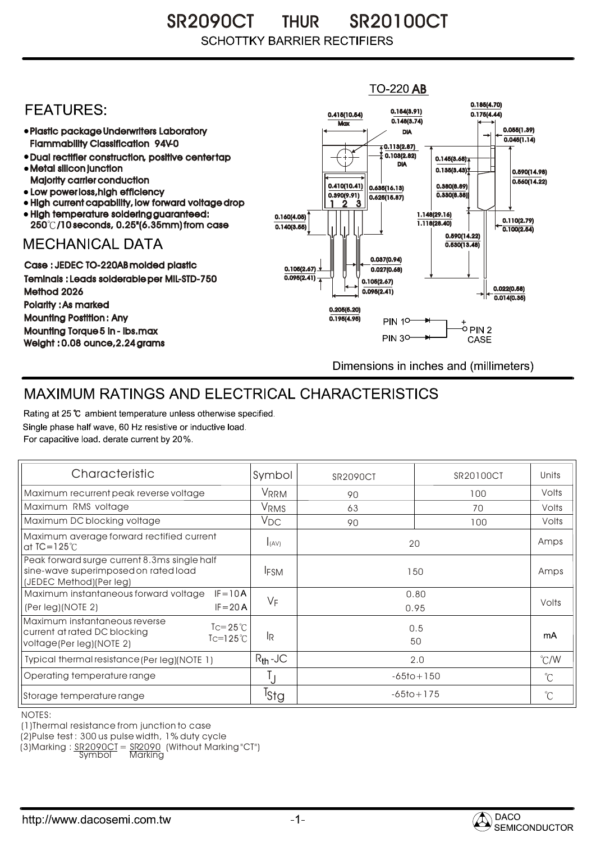SR2090CT THUR SR20100CT **SCHOTTKY BARRIER RECTIFIERS** 

## $TO-220$  AB 0.185(4.70) **FEATURES:** 0.154(3.91) 0.415(10.54) 0.175(4.44)  $0.148(3.74)$ **Max** 0.055(1.39) Plastic package Underwriters Laboratory DIA  $0.045(1.14)$ Flammability Classification 94V-0  $\overline{4}$  0.113(2.87) 0.103(2.82) Dual rectifier construction, positive center tap 0.145(3.68) DIA Metal silicon junction  $0.135(3.43)$ 0.590(14.98) Majority carrier conduction  $0.560(14.22)$ 0.410(10.41) 0.380(8.89) 0.635(16.13) • Low power loss, high efficiency 0.330(8.38)) 0.390(9.91)  $0.625(15.87)$ High current capability, low forward voltage drop 1 3 2High temperature soldering guaranteed: 1.148(29.16) 0.160(4.05) 0.110(2.79) 250 /10 seconds, 0.25"(6.35mm) from case 1.118(28.40) 0.140(3.55)  $\overline{0.100(2.54)}$ 0.590(14.22) **MECHANICAL DATA**  $0.530(13.48)$ 0.037(0.94) Case : JEDEC TO-220AB molded plastic 0.105(2.67)  $0.027(0.68)$ Teminals : Leads solderable per MIL-STD-750  $0.095(2.41)$ 0.105(2.67) 0.022(0.58) Method 2026  $0.095(2.41)$  $0.014(0.35)$ Polarity : As marked 0.205(5.20) Mounting Postition : Any 0.195(4.95) **PIN 10-**+<br>-0 PIN 2 Mounting Torque 5 in - lbs.max **PIN 30-**CASE Weight : 0.08 ounce,2.24 grams Dimensions in inches and (millimeters)

## MAXIMUM RATINGS AND ELECTRICAL CHARACTERISTICS

Rating at 25 °C ambient temperature unless otherwise specified. Single phase half wave, 60 Hz resistive or inductive load. For capacitive load, derate current by 20%.

| Characteristic                                                                                                                             | Symbol           | <b>SR2090CT</b> | SR20100CT      | Units         |
|--------------------------------------------------------------------------------------------------------------------------------------------|------------------|-----------------|----------------|---------------|
| Maximum recurrent peak reverse voltage                                                                                                     | <b>VRRM</b>      | 90              | 100            | Volts         |
| Maximum RMS voltage                                                                                                                        | <b>VRMS</b>      | 63              | 70             | Volts         |
| Maximum DC blocking voltage                                                                                                                | $V_{DC}$         | 90              | 100            | Volts         |
| Maximum average forward rectified current<br>at $IC = 125^\circ C$                                                                         | I(AV)            | 20              |                | Amps          |
| Peak forward surge current 8.3ms single half<br>sine-wave superimposed on rated load<br>(JEDEC Method)(Per leg)                            | <b>IFSM</b>      | 150             |                | Amps          |
| Maximum instantaneous forward voltage<br>$IF = 10A$                                                                                        | VF               | 0.80            |                | Volts         |
| $IF = 20 A$<br>(Per leg) (NOTE 2)                                                                                                          |                  |                 | 0.95           |               |
| Maximum instantaneous reverse<br>$\text{I} = 25^{\circ}$<br>current at rated DC blocking<br>$Tc=125^{\circ}$ C<br>voltage(Per leg)(NOTE 2) | l <sub>R</sub>   |                 | 0.5<br>50      |               |
| Typical thermal resistance (Per leg) (NOTE 1)                                                                                              | $R_{th}$ -JC     | 2.0             |                | $\degree$ C/W |
| Operating temperature range                                                                                                                |                  | $-65$ to + 150  |                | $^{\circ}C$   |
| Storage temperature range                                                                                                                  | <sup>I</sup> Stg |                 | $-65$ to + 175 |               |

NOTES:

(1)Thermal resistance from junction to case

(2)Pulse test : 300 us pulse width, 1% duty cycle

(3)Marking : <u>SR2090CT</u> = <u>SR2090</u> (Without Marking "CT") R

Symbol Marking